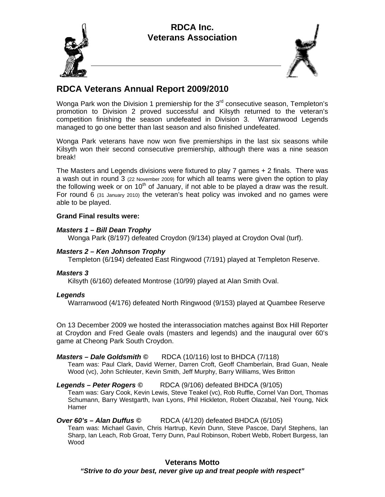



# **RDCA Veterans Annual Report 2009/2010**

Wonga Park won the Division 1 premiership for the  $3<sup>rd</sup>$  consecutive season, Templeton's promotion to Division 2 proved successful and Kilsyth returned to the veteran's competition finishing the season undefeated in Division 3. Warranwood Legends managed to go one better than last season and also finished undefeated.

Wonga Park veterans have now won five premierships in the last six seasons while Kilsyth won their second consecutive premiership, although there was a nine season break!

The Masters and Legends divisions were fixtured to play 7 games + 2 finals. There was a wash out in round 3 (22 November 2009) for which all teams were given the option to play the following week or on  $10<sup>th</sup>$  of January, if not able to be played a draw was the result. For round 6 (31 January 2010) the veteran's heat policy was invoked and no games were able to be played.

# **Grand Final results were:**

## *Masters 1 – Bill Dean Trophy*

Wonga Park (8/197) defeated Croydon (9/134) played at Croydon Oval (turf).

## *Masters 2 – Ken Johnson Trophy*

Templeton (6/194) defeated East Ringwood (7/191) played at Templeton Reserve.

#### *Masters 3*

Kilsyth (6/160) defeated Montrose (10/99) played at Alan Smith Oval.

#### *Legends*

Warranwood (4/176) defeated North Ringwood (9/153) played at Quambee Reserve

On 13 December 2009 we hosted the interassociation matches against Box Hill Reporter at Croydon and Fred Geale ovals (masters and legends) and the inaugural over 60's game at Cheong Park South Croydon.

#### *Masters – Dale Goldsmith ©* RDCA (10/116) lost to BHDCA (7/118)

Team was: Paul Clark, David Werner, Darren Croft, Geoff Chamberlain, Brad Guan, Neale Wood (vc), John Schleuter, Kevin Smith, Jeff Murphy, Barry Williams, Wes Britton

#### *Legends – Peter Rogers ©* RDCA (9/106) defeated BHDCA (9/105)

Team was: Gary Cook, Kevin Lewis, Steve Teakel (vc), Rob Ruffle, Cornel Van Dort, Thomas Schumann, Barry Westgarth, Ivan Lyons, Phil Hickleton, Robert Olazabal, Neil Young, Nick Hamer

# *Over 60's – Alan Duffus ©* RDCA (4/120) defeated BHDCA (6/105)

Team was: Michael Gavin, Chris Hartrup, Kevin Dunn, Steve Pascoe, Daryl Stephens, Ian Sharp, Ian Leach, Rob Groat, Terry Dunn, Paul Robinson, Robert Webb, Robert Burgess, Ian Wood

## **Veterans Motto**  *"Strive to do your best, never give up and treat people with respect"*